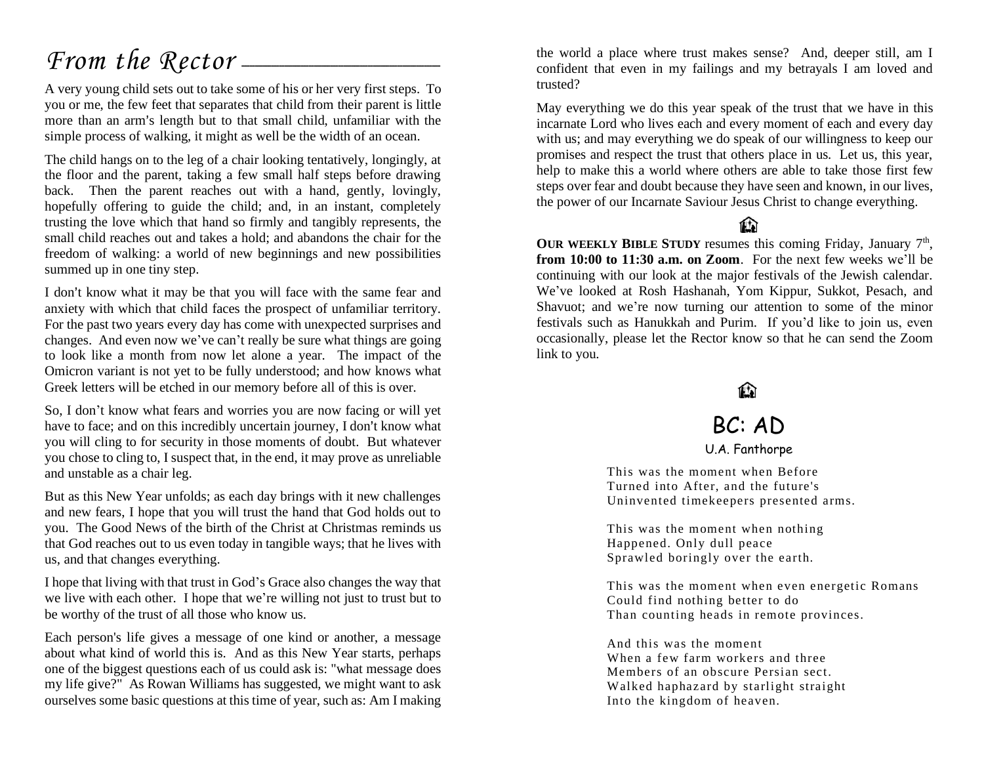## *From the Rector* —

A very young child sets out to take some of his or her very first steps. To you or me, the few feet that separates that child from their parent is little more than an arm's length but to that small child, unfamiliar with the simple process of walking, it might as well be the width of an ocean.

The child hangs on to the leg of a chair looking tentatively, longingly, at the floor and the parent, taking a few small half steps before drawing back. Then the parent reaches out with a hand, gently, lovingly, hopefully offering to guide the child; and, in an instant, completely trusting the love which that hand so firmly and tangibly represents, the small child reaches out and takes a hold; and abandons the chair for the freedom of walking: a world of new beginnings and new possibilities summed up in one tiny step.

I don't know what it may be that you will face with the same fear and anxiety with which that child faces the prospect of unfamiliar territory. For the past two years every day has come with unexpected surprises and changes. And even now we've can't really be sure what things are going to look like a month from now let alone a year. The impact of the Omicron variant is not yet to be fully understood; and how knows what Greek letters will be etched in our memory before all of this is over.

So, I don't know what fears and worries you are now facing or will yet have to face; and on this incredibly uncertain journey, I don't know what you will cling to for security in those moments of doubt. But whatever you chose to cling to, I suspect that, in the end, it may prove as unreliable and unstable as a chair leg.

But as this New Year unfolds; as each day brings with it new challenges and new fears, I hope that you will trust the hand that God holds out to you. The Good News of the birth of the Christ at Christmas reminds us that God reaches out to us even today in tangible ways; that he lives with us, and that changes everything.

I hope that living with that trust in God's Grace also changes the way that we live with each other. I hope that we're willing not just to trust but to be worthy of the trust of all those who know us.

Each person's life gives a message of one kind or another, a message about what kind of world this is. And as this New Year starts, perhaps one of the biggest questions each of us could ask is: "what message does my life give?" As Rowan Williams has suggested, we might want to ask ourselves some basic questions at this time of year, such as: Am I making the world a place where trust makes sense? And, deeper still, am I confident that even in my failings and my betrayals I am loved and trusted?

May everything we do this year speak of the trust that we have in this incarnate Lord who lives each and every moment of each and every day with us; and may everything we do speak of our willingness to keep our promises and respect the trust that others place in us. Let us, this year, help to make this a world where others are able to take those first few steps over fear and doubt because they have seen and known, in our lives, the power of our Incarnate Saviour Jesus Christ to change everything.

**That** 

OUR WEEKLY BIBLE STUDY resumes this coming Friday, January 7<sup>th</sup>, **from 10:00 to 11:30 a.m. on Zoom**. For the next few weeks we'll be continuing with our look at the major festivals of the Jewish calendar. We've looked at Rosh Hashanah, Yom Kippur, Sukkot, Pesach, and Shavuot; and we're now turning our attention to some of the minor festivals such as Hanukkah and Purim. If you'd like to join us, even occasionally, please let the Rector know so that he can send the Zoom link to you.

### M

### BC: AD

[U.A. Fanthorpe](http://www.amazon.co.uk/exec/obidos/external-search?tag=1951&keyword=UA%20Fanthorpe)

This was the moment when Before Turned into After, and the future's Uninvented timekeepers presented arms.

This was the moment when nothing Happened. Only dull peace Sprawled boringly over the earth.

This was the moment when even energetic Romans Could find nothing better to do Than counting heads in remote provinces.

And this was the moment When a few farm workers and three Members of an obscure Persian sect. Walked haphazard by starlight straight Into the kingdom of heaven.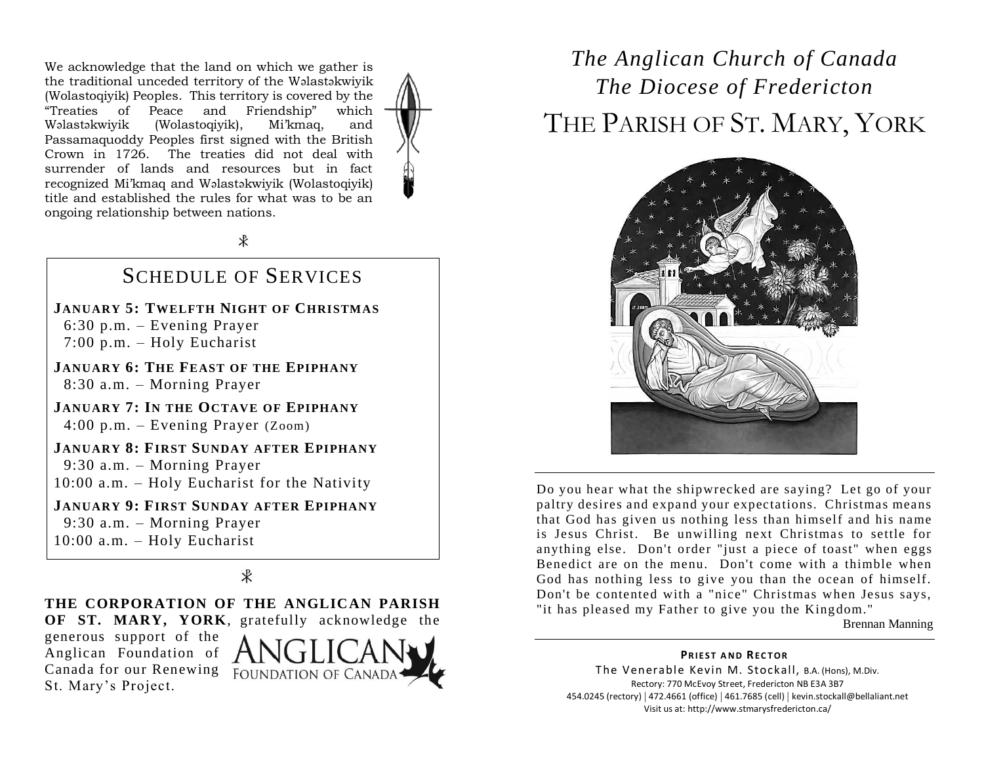We acknowledge that the land on which we gather is the traditional unceded territory of the Wəlastəkwiyik (Wolastoqiyik) Peoples. This territory is covered by the "Treaties of Peace and Friendship" which Wəlastəkwiyik (Wolastoqiyik), Mi'kmaq, and Passamaquoddy Peoples first signed with the British Crown in 1726. The treaties did not deal with surrender of lands and resources but in fact recognized Mi'kmaq and Wəlastəkwiyik (Wolastoqiyik) title and established the rules for what was to be an ongoing relationship between nations.



 $\ast$ 

#### SCHEDULE OF SERVICES

**JANUARY 5: TWELFTH NIGHT OF CHRISTMAS** 6:30 p.m. – Evening Prayer 7:00 p.m. – Holy Eucharist

**JANUARY 6: THE FEAST OF THE EPIPHANY** 8:30 a.m. – Morning Prayer

**JANUARY 7: IN THE OCTAVE OF EPIPHANY** 4:00 p.m. – Evening Prayer (Zoom)

**JANUARY 8: FIRST SUNDAY AFTER EPIPHANY** 9:30 a.m. – Morning Prayer

10:00 a.m. – Holy Eucharist for the Nativity

**JANUARY 9: FIRST SUNDAY AFTER EPIPHANY** 9:30 a.m. – Morning Prayer 10:00 a.m. – Holy Eucharist

#### $\overline{\mathcal{X}}$

**THE CORPORATION OF THE ANGLICAN PARISH OF ST. MARY, YORK**, gratefully acknowledge the

generous support of the Anglican Foundation of Canada for our Renewing FOUNDATION OF CANADA St. Mary's Project.



## *The Anglican Church of Canada The Diocese of Fredericton* THE PARISH OF ST. MARY, YORK



Do you hear what the shipwrecked are saying? Let go of your paltry desires and expand your expectations. Christmas means that God has given us nothing less than himself and his name is Jesus Christ. Be unwilling next Christmas to settle for anything else. Don't order "just a piece of toast" when eggs Benedict are on the menu. Don't come with a thimble when God has nothing less to give you than the ocean of himself. Don't be contented with a "nice" Christmas when Jesus says, "it has pleased my Father to give you the Kingdom."

Brennan Manning

**PRIEST AND RECTOR** The Venerable Kevin M. Stockall, B.A. (Hons), M.Div. Rectory: 770 McEvoy Street, Fredericton NB E3A 3B7 454.0245 (rectory) | 472.4661 (office) | 461.7685 (cell) | kevin.stockall@bellaliant.net Visit us at: http://www.stmarysfredericton.ca/